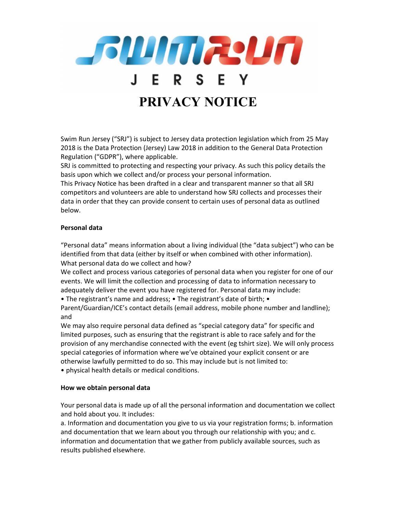

Swim Run Jersey ("SRJ") is subject to Jersey data protection legislation which from 25 May 2018 is the Data Protection (Jersey) Law 2018 in addition to the General Data Protection Regulation ("GDPR"), where applicable.

SRJ is committed to protecting and respecting your privacy. As such this policy details the basis upon which we collect and/or process your personal information.

This Privacy Notice has been drafted in a clear and transparent manner so that all SRJ competitors and volunteers are able to understand how SRJ collects and processes their data in order that they can provide consent to certain uses of personal data as outlined below.

# Personal data

"Personal data" means information about a living individual (the "data subject") who can be identified from that data (either by itself or when combined with other information). What personal data do we collect and how?

We collect and process various categories of personal data when you register for one of our events. We will limit the collection and processing of data to information necessary to adequately deliver the event you have registered for. Personal data may include:

• The registrant's name and address; • The registrant's date of birth; •

Parent/Guardian/ICE's contact details (email address, mobile phone number and landline); and

We may also require personal data defined as "special category data" for specific and limited purposes, such as ensuring that the registrant is able to race safely and for the provision of any merchandise connected with the event (eg tshirt size). We will only process special categories of information where we've obtained your explicit consent or are otherwise lawfully permitted to do so. This may include but is not limited to:

• physical health details or medical conditions.

## How we obtain personal data

Your personal data is made up of all the personal information and documentation we collect and hold about you. It includes:

a. Information and documentation you give to us via your registration forms; b. information and documentation that we learn about you through our relationship with you; and c. information and documentation that we gather from publicly available sources, such as results published elsewhere.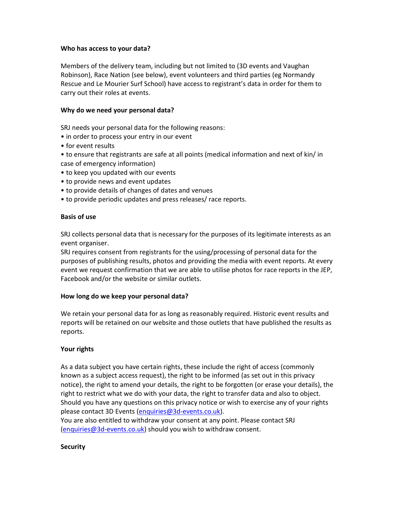## Who has access to your data?

Members of the delivery team, including but not limited to (3D events and Vaughan Robinson), Race Nation (see below), event volunteers and third parties (eg Normandy Rescue and Le Mourier Surf School) have access to registrant's data in order for them to carry out their roles at events.

#### Why do we need your personal data?

SRJ needs your personal data for the following reasons:

- in order to process your entry in our event
- for event results
- to ensure that registrants are safe at all points (medical information and next of kin/ in case of emergency information)
- to keep you updated with our events
- to provide news and event updates
- to provide details of changes of dates and venues
- to provide periodic updates and press releases/ race reports.

#### Basis of use

SRJ collects personal data that is necessary for the purposes of its legitimate interests as an event organiser.

SRJ requires consent from registrants for the using/processing of personal data for the purposes of publishing results, photos and providing the media with event reports. At every event we request confirmation that we are able to utilise photos for race reports in the JEP, Facebook and/or the website or similar outlets.

## How long do we keep your personal data?

We retain your personal data for as long as reasonably required. Historic event results and reports will be retained on our website and those outlets that have published the results as reports.

## Your rights

As a data subject you have certain rights, these include the right of access (commonly known as a subject access request), the right to be informed (as set out in this privacy notice), the right to amend your details, the right to be forgotten (or erase your details), the right to restrict what we do with your data, the right to transfer data and also to object. Should you have any questions on this privacy notice or wish to exercise any of your rights please contact 3D Events (enquiries@3d-events.co.uk).

You are also entitled to withdraw your consent at any point. Please contact SRJ (enquiries@3d-events.co.uk) should you wish to withdraw consent.

#### **Security**